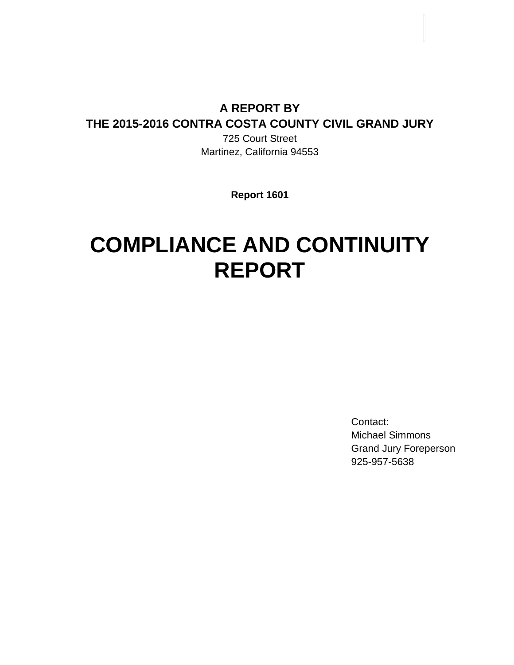# **A REPORT BY THE 2015-2016 CONTRA COSTA COUNTY CIVIL GRAND JURY**

725 Court Street Martinez, California 94553

**Report 1601**

# **COMPLIANCE AND CONTINUITY REPORT**

Contact: Michael Simmons Grand Jury Foreperson 925-957-5638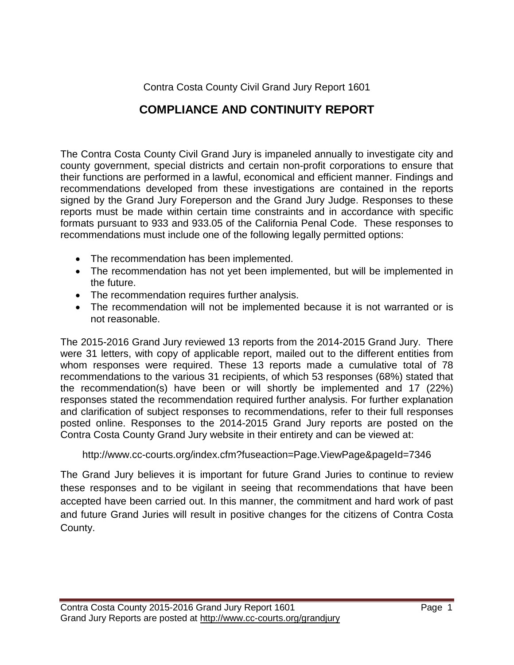Contra Costa County Civil Grand Jury Report 1601

### **COMPLIANCE AND CONTINUITY REPORT**

The Contra Costa County Civil Grand Jury is impaneled annually to investigate city and county government, special districts and certain non-profit corporations to ensure that their functions are performed in a lawful, economical and efficient manner. Findings and recommendations developed from these investigations are contained in the reports signed by the Grand Jury Foreperson and the Grand Jury Judge. Responses to these reports must be made within certain time constraints and in accordance with specific formats pursuant to 933 and 933.05 of the California Penal Code. These responses to recommendations must include one of the following legally permitted options:

- The recommendation has been implemented.
- The recommendation has not yet been implemented, but will be implemented in the future.
- The recommendation requires further analysis.
- The recommendation will not be implemented because it is not warranted or is not reasonable.

The 2015-2016 Grand Jury reviewed 13 reports from the 2014-2015 Grand Jury. There were 31 letters, with copy of applicable report, mailed out to the different entities from whom responses were required. These 13 reports made a cumulative total of 78 recommendations to the various 31 recipients, of which 53 responses (68%) stated that the recommendation(s) have been or will shortly be implemented and 17 (22%) responses stated the recommendation required further analysis. For further explanation and clarification of subject responses to recommendations, refer to their full responses posted online. Responses to the 2014-2015 Grand Jury reports are posted on the Contra Costa County Grand Jury website in their entirety and can be viewed at:

#### http://www.cc-courts.org/index.cfm?fuseaction=Page.ViewPage&pageId=7346

The Grand Jury believes it is important for future Grand Juries to continue to review these responses and to be vigilant in seeing that recommendations that have been accepted have been carried out. In this manner, the commitment and hard work of past and future Grand Juries will result in positive changes for the citizens of Contra Costa County.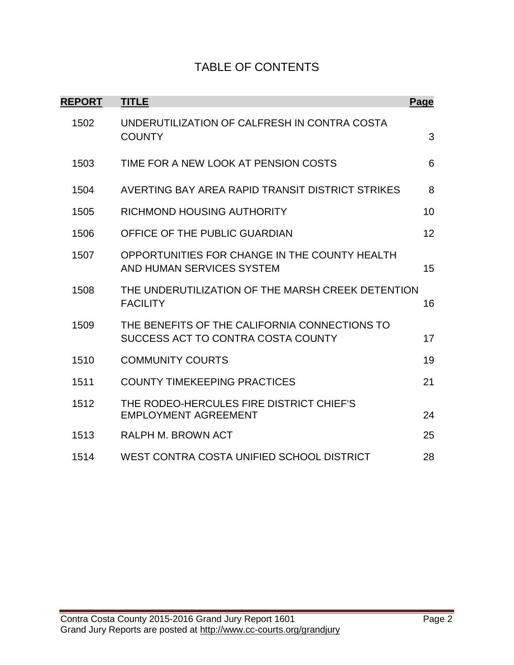#### TABLE OF CONTENTS

| <b>REPORT</b> | <b>TITLE</b>                                                                        | Page |
|---------------|-------------------------------------------------------------------------------------|------|
| 1502          | UNDERUTILIZATION OF CALFRESH IN CONTRA COSTA<br><b>COUNTY</b>                       | 3    |
| 1503          | TIME FOR A NEW LOOK AT PENSION COSTS                                                | 6    |
| 1504          | AVERTING BAY AREA RAPID TRANSIT DISTRICT STRIKES                                    | 8    |
| 1505          | <b>RICHMOND HOUSING AUTHORITY</b>                                                   | 10   |
| 1506          | OFFICE OF THE PUBLIC GUARDIAN                                                       | 12   |
| 1507          | OPPORTUNITIES FOR CHANGE IN THE COUNTY HEALTH<br>AND HUMAN SERVICES SYSTEM          | 15   |
| 1508          | THE UNDERUTILIZATION OF THE MARSH CREEK DETENTION<br><b>FACILITY</b>                | 16   |
| 1509          | THE BENEFITS OF THE CALIFORNIA CONNECTIONS TO<br>SUCCESS ACT TO CONTRA COSTA COUNTY | 17   |
| 1510          | <b>COMMUNITY COURTS</b>                                                             | 19   |
| 1511          | <b>COUNTY TIMEKEEPING PRACTICES</b>                                                 | 21   |
| 1512          | THE RODEO-HERCULES FIRE DISTRICT CHIEF'S<br><b>EMPLOYMENT AGREEMENT</b>             | 24   |
| 1513          | RALPH M. BROWN ACT                                                                  | 25   |
| 1514          | WEST CONTRA COSTA UNIFIED SCHOOL DISTRICT                                           | 28   |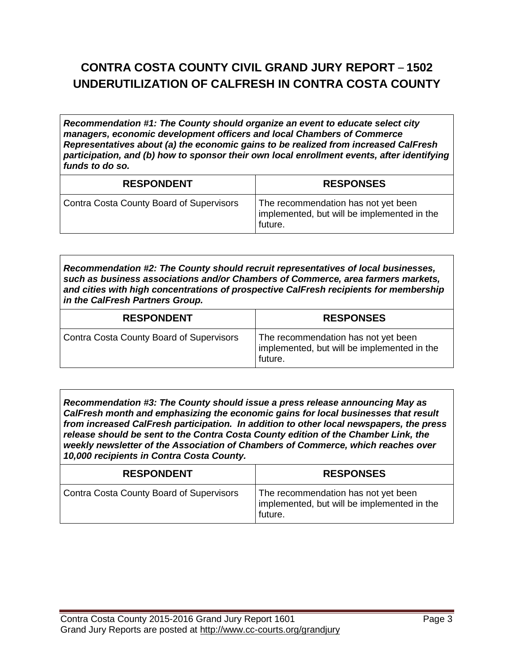# **CONTRA COSTA COUNTY CIVIL GRAND JURY REPORT** – **1502 UNDERUTILIZATION OF CALFRESH IN CONTRA COSTA COUNTY**

*Recommendation #1: The County should organize an event to educate select city managers, economic development officers and local Chambers of Commerce Representatives about (a) the economic gains to be realized from increased CalFresh participation, and (b) how to sponsor their own local enrollment events, after identifying funds to do so.*

| <b>RESPONDENT</b>                        | <b>RESPONSES</b>                                                                              |
|------------------------------------------|-----------------------------------------------------------------------------------------------|
| Contra Costa County Board of Supervisors | The recommendation has not yet been<br>implemented, but will be implemented in the<br>future. |

*Recommendation #2: The County should recruit representatives of local businesses, such as business associations and/or Chambers of Commerce, area farmers markets, and cities with high concentrations of prospective CalFresh recipients for membership in the CalFresh Partners Group.*

| <b>RESPONDENT</b>                               | <b>RESPONSES</b>                                                                              |
|-------------------------------------------------|-----------------------------------------------------------------------------------------------|
| <b>Contra Costa County Board of Supervisors</b> | The recommendation has not yet been<br>implemented, but will be implemented in the<br>future. |

*Recommendation #3: The County should issue a press release announcing May as CalFresh month and emphasizing the economic gains for local businesses that result from increased CalFresh participation. In addition to other local newspapers, the press release should be sent to the Contra Costa County edition of the Chamber Link, the weekly newsletter of the Association of Chambers of Commerce, which reaches over 10,000 recipients in Contra Costa County.*

| <b>RESPONDENT</b>                               | <b>RESPONSES</b>                                                                              |
|-------------------------------------------------|-----------------------------------------------------------------------------------------------|
| <b>Contra Costa County Board of Supervisors</b> | The recommendation has not yet been<br>implemented, but will be implemented in the<br>future. |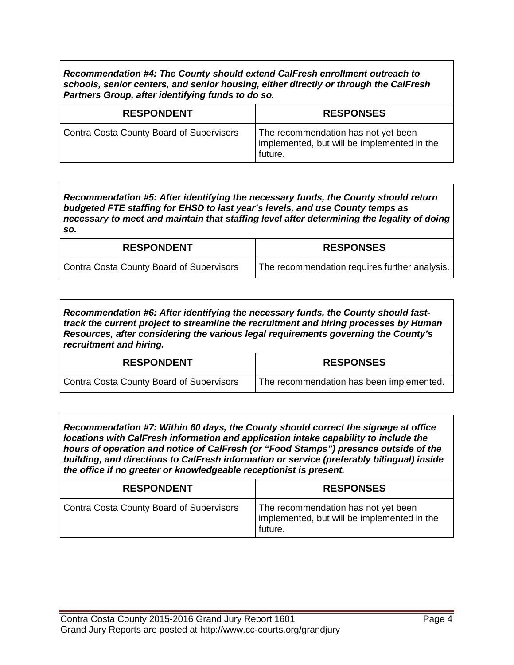*Recommendation #4: The County should extend CalFresh enrollment outreach to schools, senior centers, and senior housing, either directly or through the CalFresh Partners Group, after identifying funds to do so.*

| <b>RESPONDENT</b>                               | <b>RESPONSES</b>                                                                              |
|-------------------------------------------------|-----------------------------------------------------------------------------------------------|
| <b>Contra Costa County Board of Supervisors</b> | The recommendation has not yet been<br>implemented, but will be implemented in the<br>future. |

*Recommendation #5: After identifying the necessary funds, the County should return budgeted FTE staffing for EHSD to last year's levels, and use County temps as necessary to meet and maintain that staffing level after determining the legality of doing so.*

| <b>RESPONDENT</b>                        | <b>RESPONSES</b>                              |
|------------------------------------------|-----------------------------------------------|
| Contra Costa County Board of Supervisors | The recommendation requires further analysis. |

*Recommendation #6: After identifying the necessary funds, the County should fasttrack the current project to streamline the recruitment and hiring processes by Human Resources, after considering the various legal requirements governing the County's recruitment and hiring.*

| <b>RESPONDENT</b>                        | <b>RESPONSES</b>                         |
|------------------------------------------|------------------------------------------|
| Contra Costa County Board of Supervisors | The recommendation has been implemented. |

*Recommendation #7: Within 60 days, the County should correct the signage at office locations with CalFresh information and application intake capability to include the hours of operation and notice of CalFresh (or "Food Stamps") presence outside of the building, and directions to CalFresh information or service (preferably bilingual) inside the office if no greeter or knowledgeable receptionist is present.*

| <b>RESPONDENT</b>                        | <b>RESPONSES</b>                                                                              |
|------------------------------------------|-----------------------------------------------------------------------------------------------|
| Contra Costa County Board of Supervisors | The recommendation has not yet been<br>implemented, but will be implemented in the<br>future. |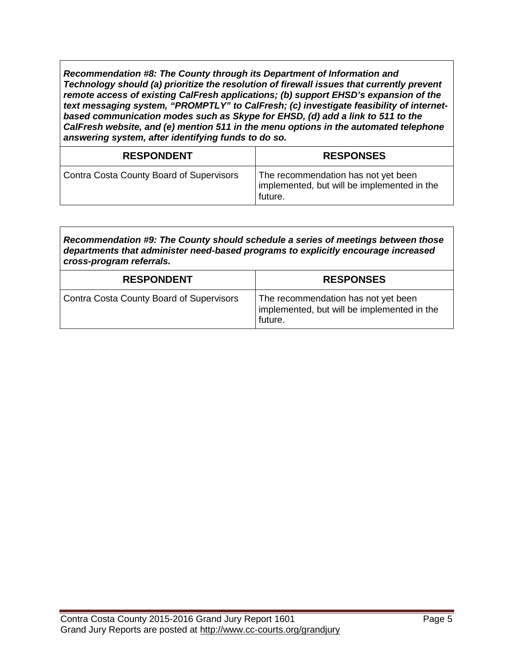*Recommendation #8: The County through its Department of Information and Technology should (a) prioritize the resolution of firewall issues that currently prevent remote access of existing CalFresh applications; (b) support EHSD's expansion of the text messaging system, "PROMPTLY" to CalFresh; (c) investigate feasibility of internetbased communication modes such as Skype for EHSD, (d) add a link to 511 to the CalFresh website, and (e) mention 511 in the menu options in the automated telephone answering system, after identifying funds to do so.*

| <b>RESPONDENT</b>                        | <b>RESPONSES</b>                                                                              |
|------------------------------------------|-----------------------------------------------------------------------------------------------|
| Contra Costa County Board of Supervisors | The recommendation has not yet been<br>implemented, but will be implemented in the<br>future. |

*Recommendation #9: The County should schedule a series of meetings between those departments that administer need-based programs to explicitly encourage increased cross-program referrals.*

| <b>RESPONDENT</b>                        | <b>RESPONSES</b>                                                                              |
|------------------------------------------|-----------------------------------------------------------------------------------------------|
| Contra Costa County Board of Supervisors | The recommendation has not yet been<br>implemented, but will be implemented in the<br>future. |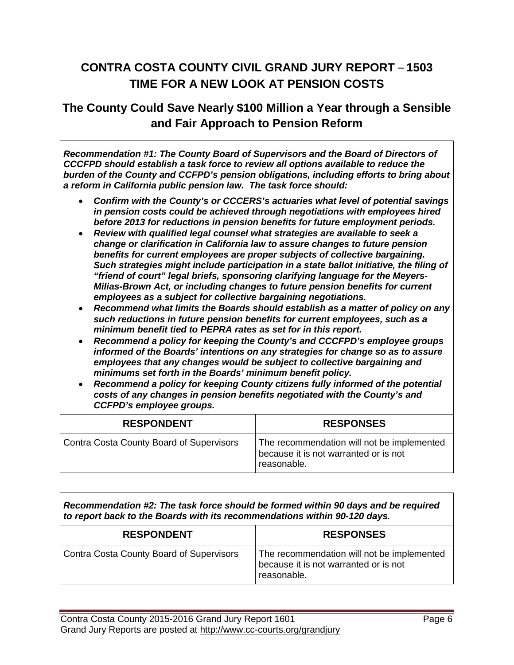## **CONTRA COSTA COUNTY CIVIL GRAND JURY REPORT** – **1503 TIME FOR A NEW LOOK AT PENSION COSTS**

#### **The County Could Save Nearly \$100 Million a Year through a Sensible and Fair Approach to Pension Reform**

*Recommendation #1: The County Board of Supervisors and the Board of Directors of CCCFPD should establish a task force to review all options available to reduce the burden of the County and CCFPD's pension obligations, including efforts to bring about a reform in California public pension law. The task force should:*

- *Confirm with the County's or CCCERS's actuaries what level of potential savings in pension costs could be achieved through negotiations with employees hired before 2013 for reductions in pension benefits for future employment periods.*
- *Review with qualified legal counsel what strategies are available to seek a change or clarification in California law to assure changes to future pension benefits for current employees are proper subjects of collective bargaining. Such strategies might include participation in a state ballot initiative, the filing of "friend of court" legal briefs, sponsoring clarifying language for the Meyers-Milias-Brown Act, or including changes to future pension benefits for current employees as a subject for collective bargaining negotiations.*
- *Recommend what limits the Boards should establish as a matter of policy on any such reductions in future pension benefits for current employees, such as a minimum benefit tied to PEPRA rates as set for in this report.*
- *Recommend a policy for keeping the County's and CCCFPD's employee groups informed of the Boards' intentions on any strategies for change so as to assure employees that any changes would be subject to collective bargaining and minimums set forth in the Boards' minimum benefit policy.*
- *Recommend a policy for keeping County citizens fully informed of the potential costs of any changes in pension benefits negotiated with the County's and CCFPD's employee groups.*

| <b>RESPONDENT</b>                        | <b>RESPONSES</b>                                                                                   |
|------------------------------------------|----------------------------------------------------------------------------------------------------|
| Contra Costa County Board of Supervisors | The recommendation will not be implemented<br>because it is not warranted or is not<br>reasonable. |

*Recommendation #2: The task force should be formed within 90 days and be required to report back to the Boards with its recommendations within 90-120 days.*

| <b>RESPONDENT</b>                               | <b>RESPONSES</b>                                                                                   |
|-------------------------------------------------|----------------------------------------------------------------------------------------------------|
| <b>Contra Costa County Board of Supervisors</b> | The recommendation will not be implemented<br>because it is not warranted or is not<br>reasonable. |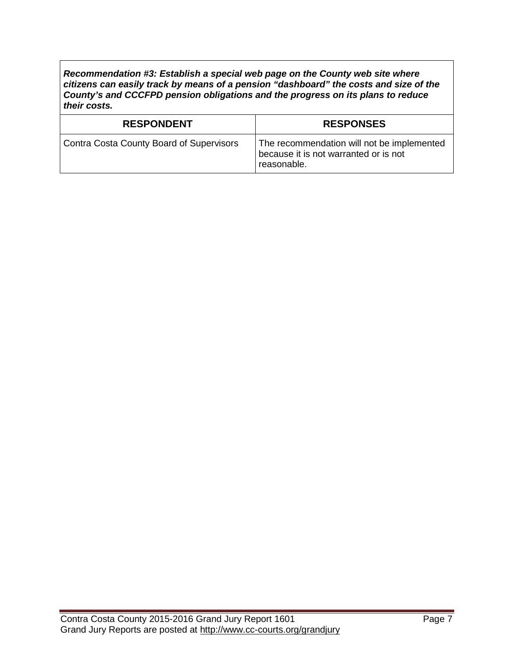*Recommendation #3: Establish a special web page on the County web site where citizens can easily track by means of a pension "dashboard" the costs and size of the County's and CCCFPD pension obligations and the progress on its plans to reduce their costs.*

| <b>RESPONDENT</b>                               | <b>RESPONSES</b>                                                                                   |
|-------------------------------------------------|----------------------------------------------------------------------------------------------------|
| <b>Contra Costa County Board of Supervisors</b> | The recommendation will not be implemented<br>because it is not warranted or is not<br>reasonable. |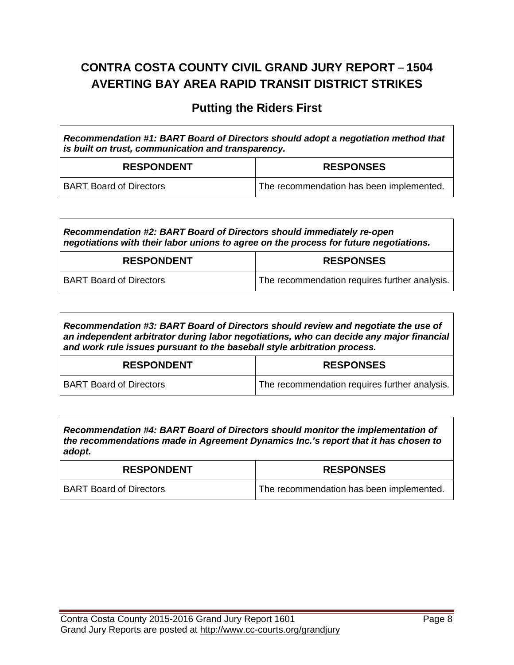# **CONTRA COSTA COUNTY CIVIL GRAND JURY REPORT** – **1504 AVERTING BAY AREA RAPID TRANSIT DISTRICT STRIKES**

#### **Putting the Riders First**

| Recommendation #1: BART Board of Directors should adopt a negotiation method that<br>is built on trust, communication and transparency. |                                          |
|-----------------------------------------------------------------------------------------------------------------------------------------|------------------------------------------|
| <b>RESPONDENT</b>                                                                                                                       | <b>RESPONSES</b>                         |
| <b>BART Board of Directors</b>                                                                                                          | The recommendation has been implemented. |

*Recommendation #2: BART Board of Directors should immediately re-open negotiations with their labor unions to agree on the process for future negotiations.*

| <b>RESPONDENT</b>              | <b>RESPONSES</b>                              |
|--------------------------------|-----------------------------------------------|
| <b>BART Board of Directors</b> | The recommendation requires further analysis. |

*Recommendation #3: BART Board of Directors should review and negotiate the use of an independent arbitrator during labor negotiations, who can decide any major financial and work rule issues pursuant to the baseball style arbitration process.*

| <b>RESPONDENT</b>              | <b>RESPONSES</b>                              |
|--------------------------------|-----------------------------------------------|
| <b>BART Board of Directors</b> | The recommendation requires further analysis. |

*Recommendation #4: BART Board of Directors should monitor the implementation of the recommendations made in Agreement Dynamics Inc.'s report that it has chosen to adopt.*

| <b>RESPONDENT</b>              | <b>RESPONSES</b>                         |
|--------------------------------|------------------------------------------|
| <b>BART Board of Directors</b> | The recommendation has been implemented. |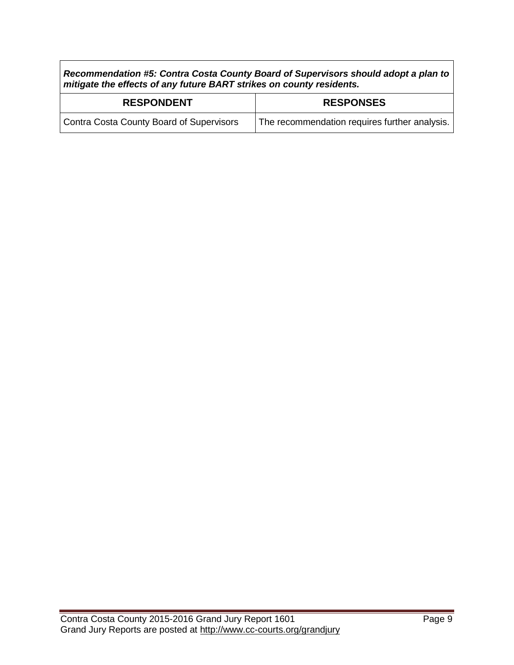*Recommendation #5: Contra Costa County Board of Supervisors should adopt a plan to mitigate the effects of any future BART strikes on county residents.*

| <b>RESPONDENT</b>                        | <b>RESPONSES</b>                              |
|------------------------------------------|-----------------------------------------------|
| Contra Costa County Board of Supervisors | The recommendation requires further analysis. |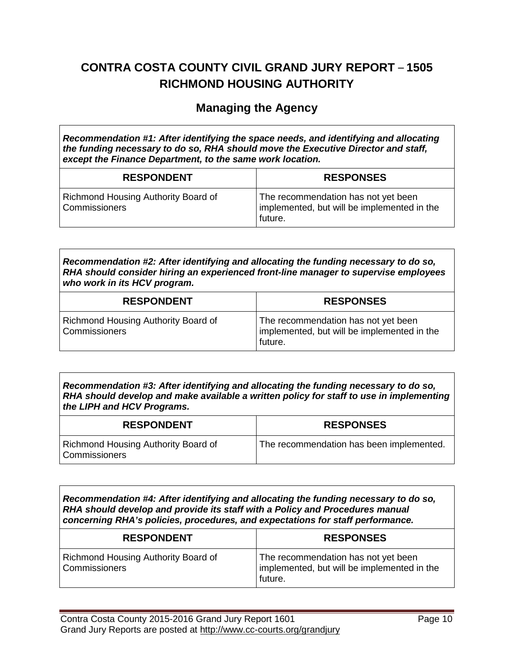# **CONTRA COSTA COUNTY CIVIL GRAND JURY REPORT** – **1505 RICHMOND HOUSING AUTHORITY**

#### **Managing the Agency**

*Recommendation #1: After identifying the space needs, and identifying and allocating the funding necessary to do so, RHA should move the Executive Director and staff, except the Finance Department, to the same work location.*

| <b>RESPONDENT</b>                                           | <b>RESPONSES</b>                                                                              |
|-------------------------------------------------------------|-----------------------------------------------------------------------------------------------|
| Richmond Housing Authority Board of<br><b>Commissioners</b> | The recommendation has not yet been<br>implemented, but will be implemented in the<br>future. |

*Recommendation #2: After identifying and allocating the funding necessary to do so, RHA should consider hiring an experienced front-line manager to supervise employees who work in its HCV program.*

| <b>RESPONDENT</b>                                    | <b>RESPONSES</b>                                                                              |
|------------------------------------------------------|-----------------------------------------------------------------------------------------------|
| Richmond Housing Authority Board of<br>Commissioners | The recommendation has not yet been<br>implemented, but will be implemented in the<br>future. |

*Recommendation #3: After identifying and allocating the funding necessary to do so, RHA should develop and make available a written policy for staff to use in implementing the LIPH and HCV Programs.*

| <b>RESPONDENT</b>                                           | <b>RESPONSES</b>                         |
|-------------------------------------------------------------|------------------------------------------|
| Richmond Housing Authority Board of<br><b>Commissioners</b> | The recommendation has been implemented. |

*Recommendation #4: After identifying and allocating the funding necessary to do so, RHA should develop and provide its staff with a Policy and Procedures manual concerning RHA's policies, procedures, and expectations for staff performance.*

| <b>RESPONDENT</b>                                    | <b>RESPONSES</b>                                                                              |
|------------------------------------------------------|-----------------------------------------------------------------------------------------------|
| Richmond Housing Authority Board of<br>Commissioners | The recommendation has not yet been<br>implemented, but will be implemented in the<br>future. |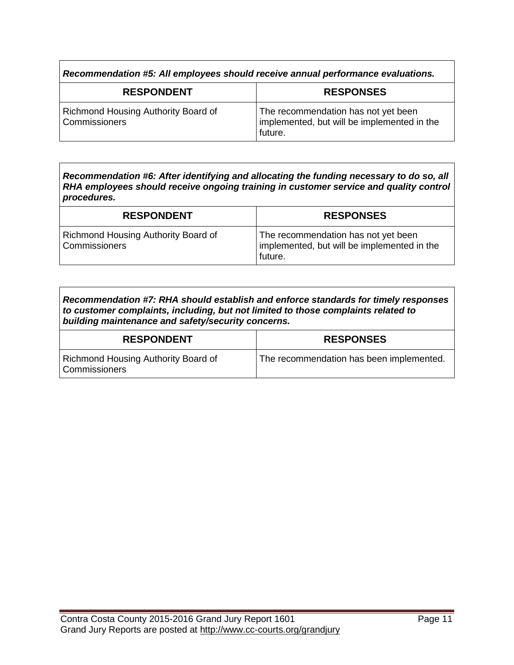*Recommendation #5: All employees should receive annual performance evaluations.*

| <b>RESPONDENT</b>                                    | <b>RESPONSES</b>                                                                              |
|------------------------------------------------------|-----------------------------------------------------------------------------------------------|
| Richmond Housing Authority Board of<br>Commissioners | The recommendation has not yet been<br>implemented, but will be implemented in the<br>future. |

*Recommendation #6: After identifying and allocating the funding necessary to do so, all RHA employees should receive ongoing training in customer service and quality control procedures.*

| <b>RESPONDENT</b>                                    | <b>RESPONSES</b>                                                                              |
|------------------------------------------------------|-----------------------------------------------------------------------------------------------|
| Richmond Housing Authority Board of<br>Commissioners | The recommendation has not yet been<br>implemented, but will be implemented in the<br>future. |

| Recommendation #7: RHA should establish and enforce standards for timely responses |
|------------------------------------------------------------------------------------|
| to customer complaints, including, but not limited to those complaints related to  |
| building maintenance and safety/security concerns.                                 |

| <b>RESPONDENT</b>                                      | <b>RESPONSES</b>                         |
|--------------------------------------------------------|------------------------------------------|
| Richmond Housing Authority Board of<br>  Commissioners | The recommendation has been implemented. |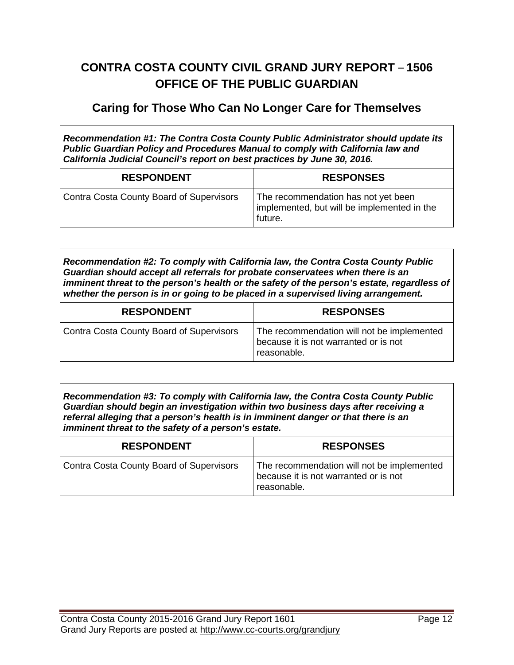## **CONTRA COSTA COUNTY CIVIL GRAND JURY REPORT** – **1506 OFFICE OF THE PUBLIC GUARDIAN**

#### **Caring for Those Who Can No Longer Care for Themselves**

*Recommendation #1: The Contra Costa County Public Administrator should update its Public Guardian Policy and Procedures Manual to comply with California law and California Judicial Council's report on best practices by June 30, 2016.*

| <b>RESPONDENT</b>                               | <b>RESPONSES</b>                                                                              |
|-------------------------------------------------|-----------------------------------------------------------------------------------------------|
| <b>Contra Costa County Board of Supervisors</b> | The recommendation has not yet been<br>implemented, but will be implemented in the<br>future. |

*Recommendation #2: To comply with California law, the Contra Costa County Public Guardian should accept all referrals for probate conservatees when there is an imminent threat to the person's health or the safety of the person's estate, regardless of whether the person is in or going to be placed in a supervised living arrangement.*

| <b>RESPONDENT</b>                               | <b>RESPONSES</b>                                                                                   |
|-------------------------------------------------|----------------------------------------------------------------------------------------------------|
| <b>Contra Costa County Board of Supervisors</b> | The recommendation will not be implemented<br>because it is not warranted or is not<br>reasonable. |

*Recommendation #3: To comply with California law, the Contra Costa County Public Guardian should begin an investigation within two business days after receiving a referral alleging that a person's health is in imminent danger or that there is an imminent threat to the safety of a person's estate.*

| <b>RESPONDENT</b>                               | <b>RESPONSES</b>                                                                                   |
|-------------------------------------------------|----------------------------------------------------------------------------------------------------|
| <b>Contra Costa County Board of Supervisors</b> | The recommendation will not be implemented<br>because it is not warranted or is not<br>reasonable. |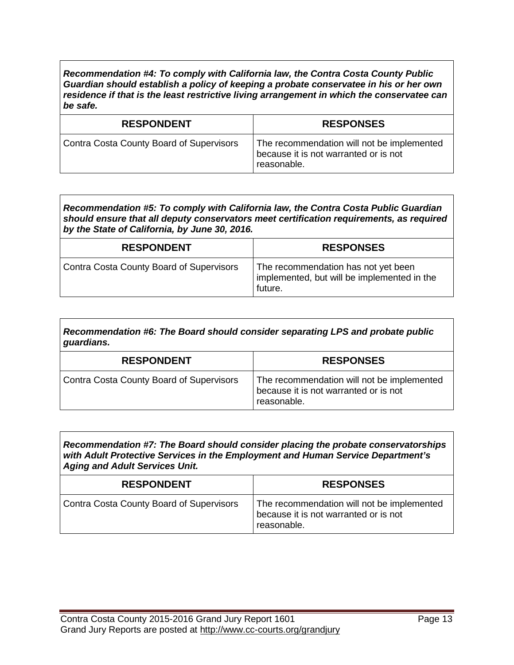*Recommendation #4: To comply with California law, the Contra Costa County Public Guardian should establish a policy of keeping a probate conservatee in his or her own residence if that is the least restrictive living arrangement in which the conservatee can be safe.*

| <b>RESPONDENT</b>                               | <b>RESPONSES</b>                                                                                   |
|-------------------------------------------------|----------------------------------------------------------------------------------------------------|
| <b>Contra Costa County Board of Supervisors</b> | The recommendation will not be implemented<br>because it is not warranted or is not<br>reasonable. |

*Recommendation #5: To comply with California law, the Contra Costa Public Guardian should ensure that all deputy conservators meet certification requirements, as required by the State of California, by June 30, 2016.*

| <b>RESPONDENT</b>                        | <b>RESPONSES</b>                                                                              |
|------------------------------------------|-----------------------------------------------------------------------------------------------|
| Contra Costa County Board of Supervisors | The recommendation has not yet been<br>implemented, but will be implemented in the<br>future. |

*Recommendation #6: The Board should consider separating LPS and probate public guardians.*

| <b>RESPONDENT</b>                        | <b>RESPONSES</b>                                                                                   |
|------------------------------------------|----------------------------------------------------------------------------------------------------|
| Contra Costa County Board of Supervisors | The recommendation will not be implemented<br>because it is not warranted or is not<br>reasonable. |

*Recommendation #7: The Board should consider placing the probate conservatorships with Adult Protective Services in the Employment and Human Service Department's Aging and Adult Services Unit.*

| <b>RESPONDENT</b>                        | <b>RESPONSES</b>                                                                                   |
|------------------------------------------|----------------------------------------------------------------------------------------------------|
| Contra Costa County Board of Supervisors | The recommendation will not be implemented<br>because it is not warranted or is not<br>reasonable. |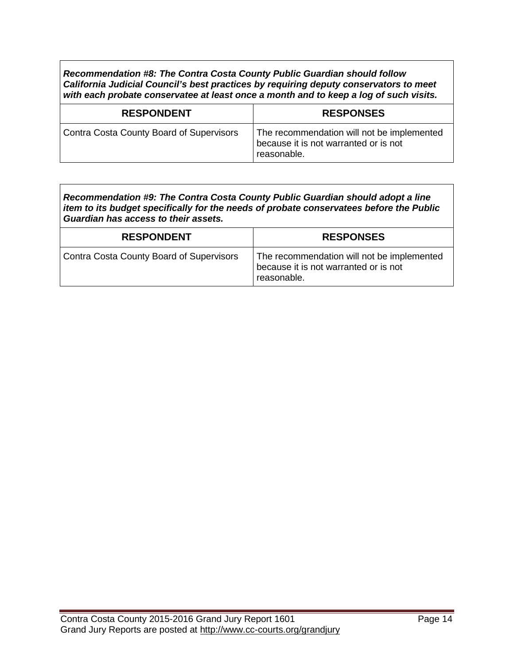*Recommendation #8: The Contra Costa County Public Guardian should follow California Judicial Council's best practices by requiring deputy conservators to meet with each probate conservatee at least once a month and to keep a log of such visits.*

| <b>RESPONDENT</b>                               | <b>RESPONSES</b>                                                                                   |
|-------------------------------------------------|----------------------------------------------------------------------------------------------------|
| <b>Contra Costa County Board of Supervisors</b> | The recommendation will not be implemented<br>because it is not warranted or is not<br>reasonable. |

| Recommendation #9: The Contra Costa County Public Guardian should adopt a line          |
|-----------------------------------------------------------------------------------------|
| item to its budget specifically for the needs of probate conservatees before the Public |
| Guardian has access to their assets.                                                    |

| <b>RESPONDENT</b>                        | <b>RESPONSES</b>                                                                                   |
|------------------------------------------|----------------------------------------------------------------------------------------------------|
| Contra Costa County Board of Supervisors | The recommendation will not be implemented<br>because it is not warranted or is not<br>reasonable. |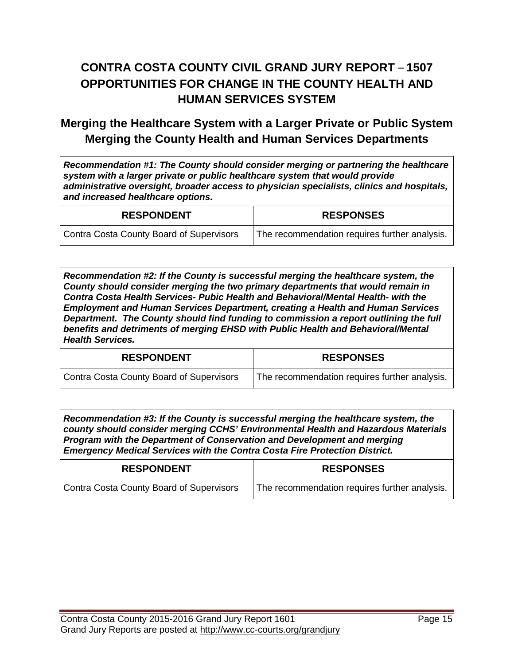# **CONTRA COSTA COUNTY CIVIL GRAND JURY REPORT** – **1507 OPPORTUNITIES FOR CHANGE IN THE COUNTY HEALTH AND HUMAN SERVICES SYSTEM**

#### **Merging the Healthcare System with a Larger Private or Public System Merging the County Health and Human Services Departments**

*Recommendation #1: The County should consider merging or partnering the healthcare system with a larger private or public healthcare system that would provide administrative oversight, broader access to physician specialists, clinics and hospitals, and increased healthcare options.*

| <b>RESPONDENT</b>                        | <b>RESPONSES</b>                              |
|------------------------------------------|-----------------------------------------------|
| Contra Costa County Board of Supervisors | The recommendation requires further analysis. |

*Recommendation #2: If the County is successful merging the healthcare system, the County should consider merging the two primary departments that would remain in Contra Costa Health Services- Pubic Health and Behavioral/Mental Health- with the Employment and Human Services Department, creating a Health and Human Services Department. The County should find funding to commission a report outlining the full benefits and detriments of merging EHSD with Public Health and Behavioral/Mental Health Services.*

| <b>RESPONDENT</b>                        | <b>RESPONSES</b>                              |
|------------------------------------------|-----------------------------------------------|
| Contra Costa County Board of Supervisors | The recommendation requires further analysis. |

*Recommendation #3: If the County is successful merging the healthcare system, the county should consider merging CCHS' Environmental Health and Hazardous Materials Program with the Department of Conservation and Development and merging Emergency Medical Services with the Contra Costa Fire Protection District.*

| <b>RESPONDENT</b>                        | <b>RESPONSES</b>                              |
|------------------------------------------|-----------------------------------------------|
| Contra Costa County Board of Supervisors | The recommendation requires further analysis. |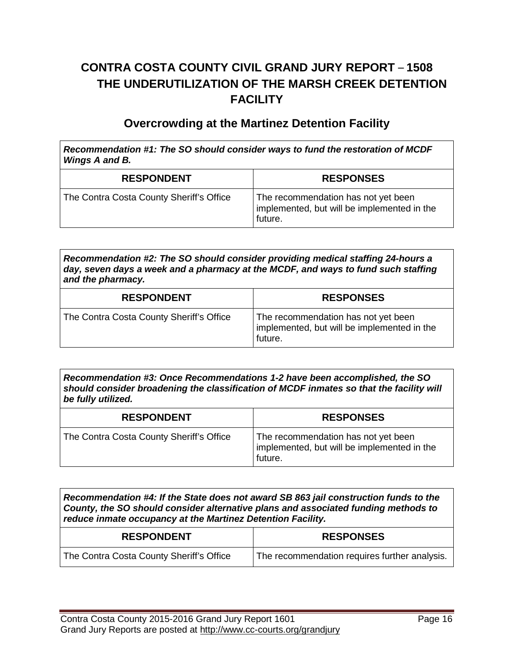# **CONTRA COSTA COUNTY CIVIL GRAND JURY REPORT** – **1508 THE UNDERUTILIZATION OF THE MARSH CREEK DETENTION FACILITY**

#### **Overcrowding at the Martinez Detention Facility**

*Recommendation #1: The SO should consider ways to fund the restoration of MCDF Wings A and B.*

| <b>RESPONDENT</b>                        | <b>RESPONSES</b>                                                                              |
|------------------------------------------|-----------------------------------------------------------------------------------------------|
| The Contra Costa County Sheriff's Office | The recommendation has not yet been<br>implemented, but will be implemented in the<br>future. |

*Recommendation #2: The SO should consider providing medical staffing 24-hours a day, seven days a week and a pharmacy at the MCDF, and ways to fund such staffing and the pharmacy.*

| <b>RESPONDENT</b>                        | <b>RESPONSES</b>                                                                              |
|------------------------------------------|-----------------------------------------------------------------------------------------------|
| The Contra Costa County Sheriff's Office | The recommendation has not yet been<br>implemented, but will be implemented in the<br>future. |

*Recommendation #3: Once Recommendations 1-2 have been accomplished, the SO should consider broadening the classification of MCDF inmates so that the facility will be fully utilized.*

| <b>RESPONDENT</b>                        | <b>RESPONSES</b>                                                                              |
|------------------------------------------|-----------------------------------------------------------------------------------------------|
| The Contra Costa County Sheriff's Office | The recommendation has not yet been<br>implemented, but will be implemented in the<br>future. |

*Recommendation #4: If the State does not award SB 863 jail construction funds to the County, the SO should consider alternative plans and associated funding methods to reduce inmate occupancy at the Martinez Detention Facility.*

| <b>RESPONDENT</b>                        | <b>RESPONSES</b>                              |
|------------------------------------------|-----------------------------------------------|
| The Contra Costa County Sheriff's Office | The recommendation requires further analysis. |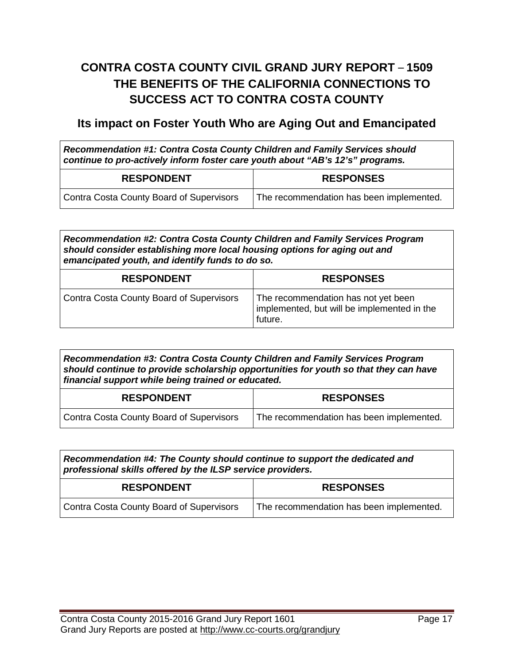# **CONTRA COSTA COUNTY CIVIL GRAND JURY REPORT** – **1509 THE BENEFITS OF THE CALIFORNIA CONNECTIONS TO SUCCESS ACT TO CONTRA COSTA COUNTY**

#### **Its impact on Foster Youth Who are Aging Out and Emancipated**

*Recommendation #1: Contra Costa County Children and Family Services should continue to pro-actively inform foster care youth about "AB's 12's" programs.*

| <b>RESPONDENT</b>                        | <b>RESPONSES</b>                                      |
|------------------------------------------|-------------------------------------------------------|
| Contra Costa County Board of Supervisors | <sup>1</sup> The recommendation has been implemented. |

*Recommendation #2: Contra Costa County Children and Family Services Program should consider establishing more local housing options for aging out and emancipated youth, and identify funds to do so.*

| <b>RESPONDENT</b>                               | <b>RESPONSES</b>                                                                              |
|-------------------------------------------------|-----------------------------------------------------------------------------------------------|
| <b>Contra Costa County Board of Supervisors</b> | The recommendation has not yet been<br>implemented, but will be implemented in the<br>future. |

*Recommendation #3: Contra Costa County Children and Family Services Program should continue to provide scholarship opportunities for youth so that they can have financial support while being trained or educated.*

| <b>RESPONDENT</b>                        | <b>RESPONSES</b>                         |
|------------------------------------------|------------------------------------------|
| Contra Costa County Board of Supervisors | The recommendation has been implemented. |

| Recommendation #4: The County should continue to support the dedicated and |
|----------------------------------------------------------------------------|
| professional skills offered by the ILSP service providers.                 |

| <b>RESPONDENT</b>                        | <b>RESPONSES</b>                         |
|------------------------------------------|------------------------------------------|
| Contra Costa County Board of Supervisors | The recommendation has been implemented. |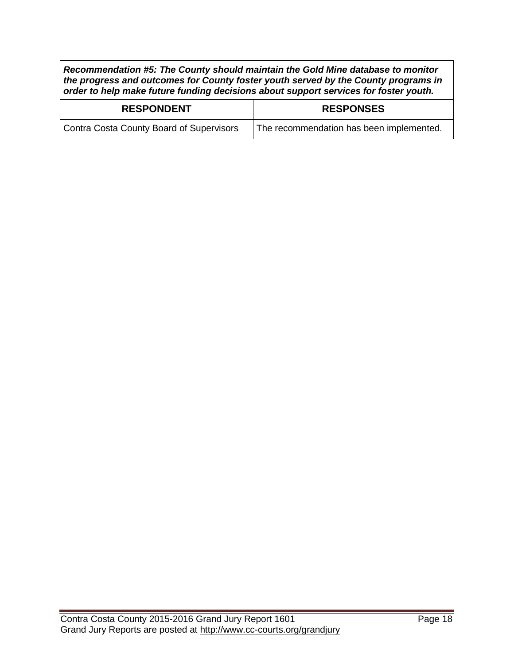*Recommendation #5: The County should maintain the Gold Mine database to monitor the progress and outcomes for County foster youth served by the County programs in order to help make future funding decisions about support services for foster youth.*

| <b>RESPONDENT</b>                        | <b>RESPONSES</b>                         |
|------------------------------------------|------------------------------------------|
| Contra Costa County Board of Supervisors | The recommendation has been implemented. |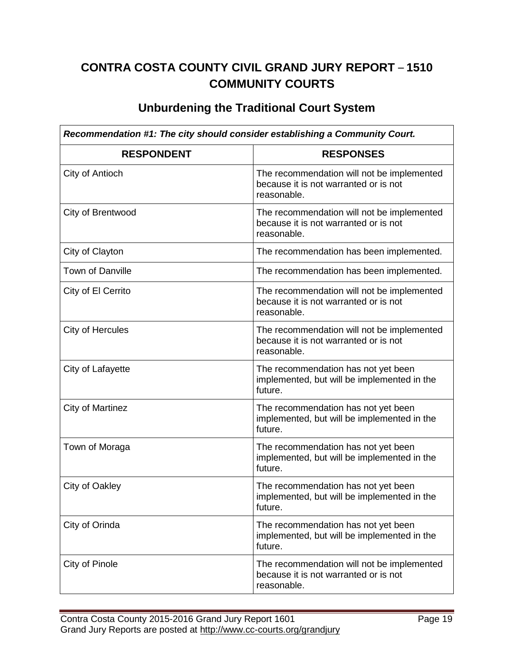# **CONTRA COSTA COUNTY CIVIL GRAND JURY REPORT** – **1510 COMMUNITY COURTS**

#### **Unburdening the Traditional Court System**

| Recommendation #1: The city should consider establishing a Community Court. |                                                                                                    |
|-----------------------------------------------------------------------------|----------------------------------------------------------------------------------------------------|
| <b>RESPONDENT</b>                                                           | <b>RESPONSES</b>                                                                                   |
| City of Antioch                                                             | The recommendation will not be implemented<br>because it is not warranted or is not<br>reasonable. |
| City of Brentwood                                                           | The recommendation will not be implemented<br>because it is not warranted or is not<br>reasonable. |
| City of Clayton                                                             | The recommendation has been implemented.                                                           |
| Town of Danville                                                            | The recommendation has been implemented.                                                           |
| City of El Cerrito                                                          | The recommendation will not be implemented<br>because it is not warranted or is not<br>reasonable. |
| <b>City of Hercules</b>                                                     | The recommendation will not be implemented<br>because it is not warranted or is not<br>reasonable. |
| City of Lafayette                                                           | The recommendation has not yet been<br>implemented, but will be implemented in the<br>future.      |
| <b>City of Martinez</b>                                                     | The recommendation has not yet been<br>implemented, but will be implemented in the<br>future.      |
| Town of Moraga                                                              | The recommendation has not yet been<br>implemented, but will be implemented in the<br>future.      |
| City of Oakley                                                              | The recommendation has not yet been<br>implemented, but will be implemented in the<br>future.      |
| City of Orinda                                                              | The recommendation has not yet been<br>implemented, but will be implemented in the<br>future.      |
| City of Pinole                                                              | The recommendation will not be implemented<br>because it is not warranted or is not<br>reasonable. |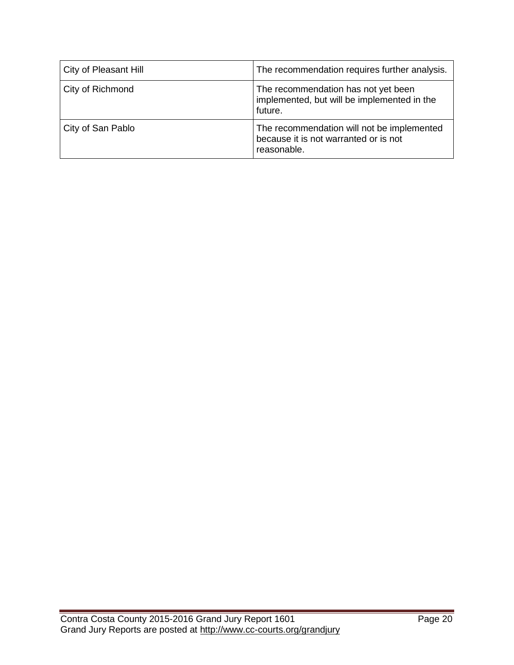| City of Pleasant Hill | The recommendation requires further analysis.                                                      |
|-----------------------|----------------------------------------------------------------------------------------------------|
| City of Richmond      | The recommendation has not yet been<br>implemented, but will be implemented in the<br>future.      |
| City of San Pablo     | The recommendation will not be implemented<br>because it is not warranted or is not<br>reasonable. |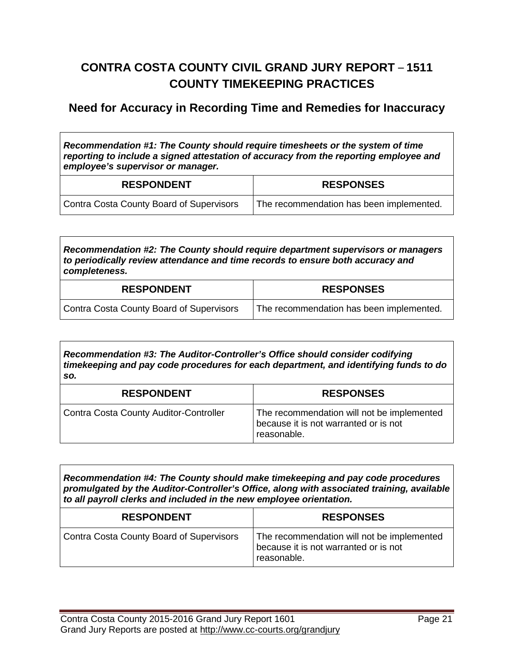# **CONTRA COSTA COUNTY CIVIL GRAND JURY REPORT** – **1511 COUNTY TIMEKEEPING PRACTICES**

#### **Need for Accuracy in Recording Time and Remedies for Inaccuracy**

*Recommendation #1: The County should require timesheets or the system of time reporting to include a signed attestation of accuracy from the reporting employee and employee's supervisor or manager.*

| <b>RESPONDENT</b>                        | <b>RESPONSES</b>                         |
|------------------------------------------|------------------------------------------|
| Contra Costa County Board of Supervisors | The recommendation has been implemented. |

*Recommendation #2: The County should require department supervisors or managers to periodically review attendance and time records to ensure both accuracy and completeness.*

| <b>RESPONDENT</b>                        | <b>RESPONSES</b>                                      |
|------------------------------------------|-------------------------------------------------------|
| Contra Costa County Board of Supervisors | <sup>1</sup> The recommendation has been implemented. |

*Recommendation #3: The Auditor-Controller's Office should consider codifying timekeeping and pay code procedures for each department, and identifying funds to do so.*

| <b>RESPONDENT</b>                      | <b>RESPONSES</b>                                                                                   |
|----------------------------------------|----------------------------------------------------------------------------------------------------|
| Contra Costa County Auditor-Controller | The recommendation will not be implemented<br>because it is not warranted or is not<br>reasonable. |

*Recommendation #4: The County should make timekeeping and pay code procedures promulgated by the Auditor-Controller's Office, along with associated training, available to all payroll clerks and included in the new employee orientation.*

| <b>RESPONDENT</b>                               | <b>RESPONSES</b>                                                                                   |
|-------------------------------------------------|----------------------------------------------------------------------------------------------------|
| <b>Contra Costa County Board of Supervisors</b> | The recommendation will not be implemented<br>because it is not warranted or is not<br>reasonable. |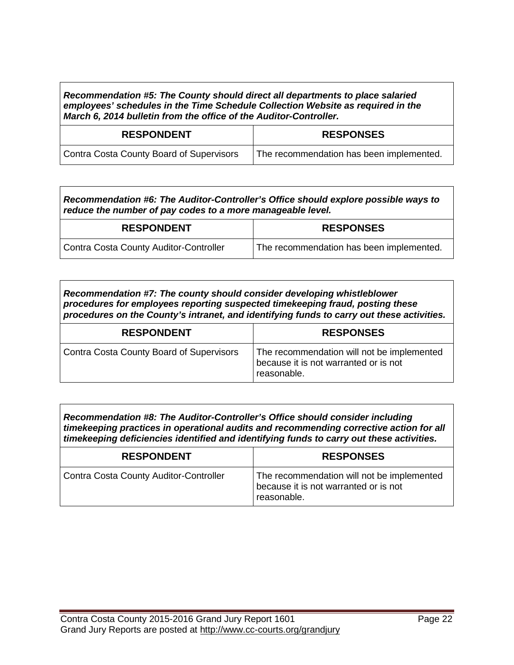*Recommendation #5: The County should direct all departments to place salaried employees' schedules in the Time Schedule Collection Website as required in the March 6, 2014 bulletin from the office of the Auditor-Controller.*

| <b>RESPONDENT</b>                               | <b>RESPONSES</b>                         |
|-------------------------------------------------|------------------------------------------|
| <b>Contra Costa County Board of Supervisors</b> | The recommendation has been implemented. |

*Recommendation #6: The Auditor-Controller's Office should explore possible ways to reduce the number of pay codes to a more manageable level.*

| <b>RESPONDENT</b>                      | <b>RESPONSES</b>                         |
|----------------------------------------|------------------------------------------|
| Contra Costa County Auditor-Controller | The recommendation has been implemented. |

| procedures for employees reporting suspected timekeeping fraud, posting these<br>procedures on the County's intranet, and identifying funds to carry out these activities. |  |  |
|----------------------------------------------------------------------------------------------------------------------------------------------------------------------------|--|--|
| Recommendation #7: The county should consider developing whistleblower                                                                                                     |  |  |

| <b>RESPONDENT</b>                        | <b>RESPONSES</b>                                                                                   |
|------------------------------------------|----------------------------------------------------------------------------------------------------|
| Contra Costa County Board of Supervisors | The recommendation will not be implemented<br>because it is not warranted or is not<br>reasonable. |

*Recommendation #8: The Auditor-Controller's Office should consider including timekeeping practices in operational audits and recommending corrective action for all timekeeping deficiencies identified and identifying funds to carry out these activities.*

| <b>RESPONDENT</b>                      | <b>RESPONSES</b>                                                                                   |
|----------------------------------------|----------------------------------------------------------------------------------------------------|
| Contra Costa County Auditor-Controller | The recommendation will not be implemented<br>because it is not warranted or is not<br>reasonable. |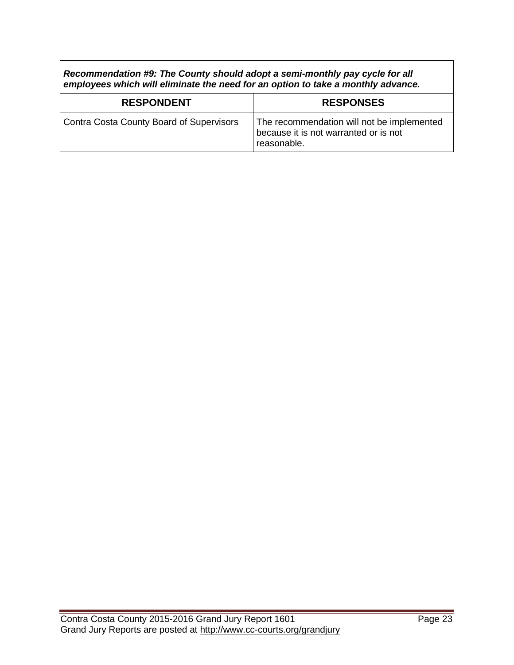*Recommendation #9: The County should adopt a semi-monthly pay cycle for all employees which will eliminate the need for an option to take a monthly advance.*

| <b>RESPONDENT</b>                        | <b>RESPONSES</b>                                                                                   |
|------------------------------------------|----------------------------------------------------------------------------------------------------|
| Contra Costa County Board of Supervisors | The recommendation will not be implemented<br>because it is not warranted or is not<br>reasonable. |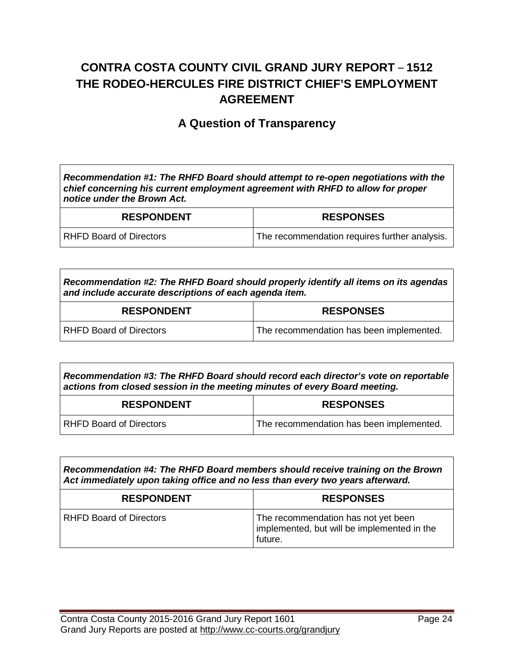## **CONTRA COSTA COUNTY CIVIL GRAND JURY REPORT** – **1512 THE RODEO-HERCULES FIRE DISTRICT CHIEF'S EMPLOYMENT AGREEMENT**

#### **A Question of Transparency**

*Recommendation #1: The RHFD Board should attempt to re-open negotiations with the chief concerning his current employment agreement with RHFD to allow for proper notice under the Brown Act.*

| <b>RESPONDENT</b>              | <b>RESPONSES</b>                              |
|--------------------------------|-----------------------------------------------|
| <b>RHFD Board of Directors</b> | The recommendation requires further analysis. |

*Recommendation #2: The RHFD Board should properly identify all items on its agendas and include accurate descriptions of each agenda item.*

| <b>RESPONDENT</b>       | <b>RESPONSES</b>                         |
|-------------------------|------------------------------------------|
| RHFD Board of Directors | The recommendation has been implemented. |

*Recommendation #3: The RHFD Board should record each director's vote on reportable actions from closed session in the meeting minutes of every Board meeting.*

| <b>RESPONDENT</b>              | <b>RESPONSES</b>                         |
|--------------------------------|------------------------------------------|
| <b>RHFD Board of Directors</b> | The recommendation has been implemented. |

*Recommendation #4: The RHFD Board members should receive training on the Brown Act immediately upon taking office and no less than every two years afterward.*

| <b>RESPONDENT</b>              | <b>RESPONSES</b>                                                                              |
|--------------------------------|-----------------------------------------------------------------------------------------------|
| <b>RHFD Board of Directors</b> | The recommendation has not yet been<br>implemented, but will be implemented in the<br>future. |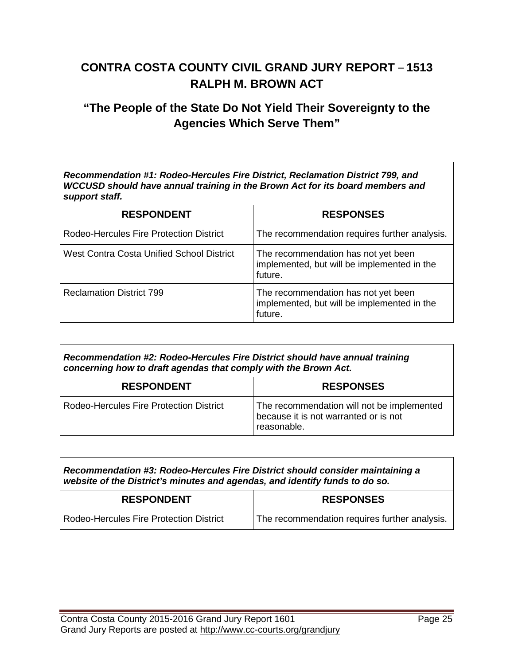# **CONTRA COSTA COUNTY CIVIL GRAND JURY REPORT** – **1513 RALPH M. BROWN ACT**

### **"The People of the State Do Not Yield Their Sovereignty to the Agencies Which Serve Them"**

*Recommendation #1: Rodeo-Hercules Fire District, Reclamation District 799, and WCCUSD should have annual training in the Brown Act for its board members and support staff.*

| <b>RESPONDENT</b>                         | <b>RESPONSES</b>                                                                              |
|-------------------------------------------|-----------------------------------------------------------------------------------------------|
| Rodeo-Hercules Fire Protection District   | The recommendation requires further analysis.                                                 |
| West Contra Costa Unified School District | The recommendation has not yet been<br>implemented, but will be implemented in the<br>future. |
| <b>Reclamation District 799</b>           | The recommendation has not yet been<br>implemented, but will be implemented in the<br>future. |

| Recommendation #2: Rodeo-Hercules Fire District should have annual training<br>concerning how to draft agendas that comply with the Brown Act. |                                                                                                    |
|------------------------------------------------------------------------------------------------------------------------------------------------|----------------------------------------------------------------------------------------------------|
| <b>RESPONDENT</b>                                                                                                                              | <b>RESPONSES</b>                                                                                   |
| Rodeo-Hercules Fire Protection District                                                                                                        | The recommendation will not be implemented<br>because it is not warranted or is not<br>reasonable. |

| Recommendation #3: Rodeo-Hercules Fire District should consider maintaining a<br>website of the District's minutes and agendas, and identify funds to do so. |                                               |
|--------------------------------------------------------------------------------------------------------------------------------------------------------------|-----------------------------------------------|
| <b>RESPONDENT</b>                                                                                                                                            | <b>RESPONSES</b>                              |
| Rodeo-Hercules Fire Protection District                                                                                                                      | The recommendation requires further analysis. |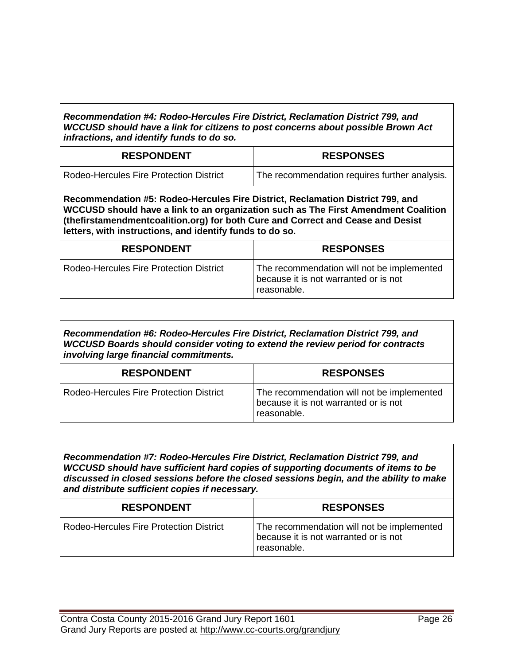*Recommendation #4: Rodeo-Hercules Fire District, Reclamation District 799, and WCCUSD should have a link for citizens to post concerns about possible Brown Act infractions, and identify funds to do so.*

| <b>RESPONDENT</b>                       | <b>RESPONSES</b>                              |
|-----------------------------------------|-----------------------------------------------|
| Rodeo-Hercules Fire Protection District | The recommendation requires further analysis. |

**Recommendation #5: Rodeo-Hercules Fire District, Reclamation District 799, and WCCUSD should have a link to an organization such as The First Amendment Coalition (thefirstamendmentcoalition.org) for both Cure and Correct and Cease and Desist letters, with instructions, and identify funds to do so.**

| <b>RESPONDENT</b>                       | <b>RESPONSES</b>                                                                                   |
|-----------------------------------------|----------------------------------------------------------------------------------------------------|
| Rodeo-Hercules Fire Protection District | The recommendation will not be implemented<br>because it is not warranted or is not<br>reasonable. |

*Recommendation #6: Rodeo-Hercules Fire District, Reclamation District 799, and WCCUSD Boards should consider voting to extend the review period for contracts involving large financial commitments.*

| <b>RESPONDENT</b>                       | <b>RESPONSES</b>                                                                                   |
|-----------------------------------------|----------------------------------------------------------------------------------------------------|
| Rodeo-Hercules Fire Protection District | The recommendation will not be implemented<br>because it is not warranted or is not<br>reasonable. |

*Recommendation #7: Rodeo-Hercules Fire District, Reclamation District 799, and WCCUSD should have sufficient hard copies of supporting documents of items to be discussed in closed sessions before the closed sessions begin, and the ability to make and distribute sufficient copies if necessary.*

| <b>RESPONDENT</b>                       | <b>RESPONSES</b>                                                                                   |
|-----------------------------------------|----------------------------------------------------------------------------------------------------|
| Rodeo-Hercules Fire Protection District | The recommendation will not be implemented<br>because it is not warranted or is not<br>reasonable. |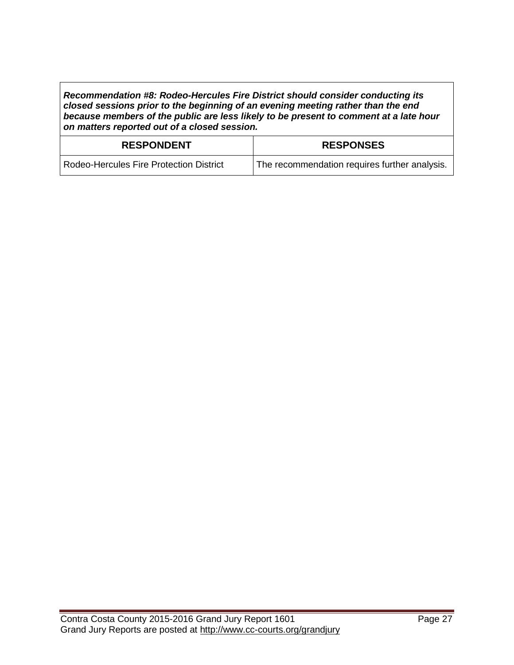*Recommendation #8: Rodeo-Hercules Fire District should consider conducting its closed sessions prior to the beginning of an evening meeting rather than the end because members of the public are less likely to be present to comment at a late hour on matters reported out of a closed session.*

| <b>RESPONDENT</b>                       | <b>RESPONSES</b>                              |
|-----------------------------------------|-----------------------------------------------|
| Rodeo-Hercules Fire Protection District | The recommendation requires further analysis. |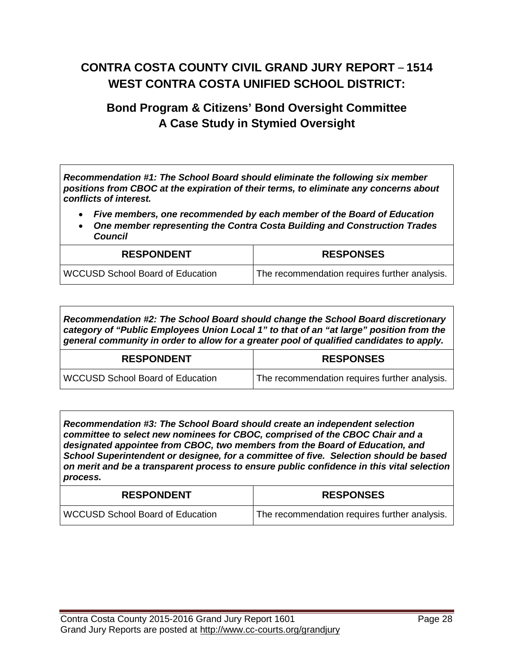# **CONTRA COSTA COUNTY CIVIL GRAND JURY REPORT** – **1514 WEST CONTRA COSTA UNIFIED SCHOOL DISTRICT:**

## **Bond Program & Citizens' Bond Oversight Committee A Case Study in Stymied Oversight**

*Recommendation #1: The School Board should eliminate the following six member positions from CBOC at the expiration of their terms, to eliminate any concerns about conflicts of interest.*

- *Five members, one recommended by each member of the Board of Education*
- *One member representing the Contra Costa Building and Construction Trades Council*

| <b>RESPONDENT</b>                       | <b>RESPONSES</b>                              |
|-----------------------------------------|-----------------------------------------------|
| <b>WCCUSD School Board of Education</b> | The recommendation requires further analysis. |

*Recommendation #2: The School Board should change the School Board discretionary category of "Public Employees Union Local 1" to that of an "at large" position from the general community in order to allow for a greater pool of qualified candidates to apply.*

| <b>RESPONDENT</b>                       | <b>RESPONSES</b>                              |
|-----------------------------------------|-----------------------------------------------|
| <b>WCCUSD School Board of Education</b> | The recommendation requires further analysis. |

*Recommendation #3: The School Board should create an independent selection committee to select new nominees for CBOC, comprised of the CBOC Chair and a designated appointee from CBOC, two members from the Board of Education, and School Superintendent or designee, for a committee of five. Selection should be based on merit and be a transparent process to ensure public confidence in this vital selection process.*

| <b>RESPONDENT</b>                       | <b>RESPONSES</b>                              |
|-----------------------------------------|-----------------------------------------------|
| <b>WCCUSD School Board of Education</b> | The recommendation requires further analysis. |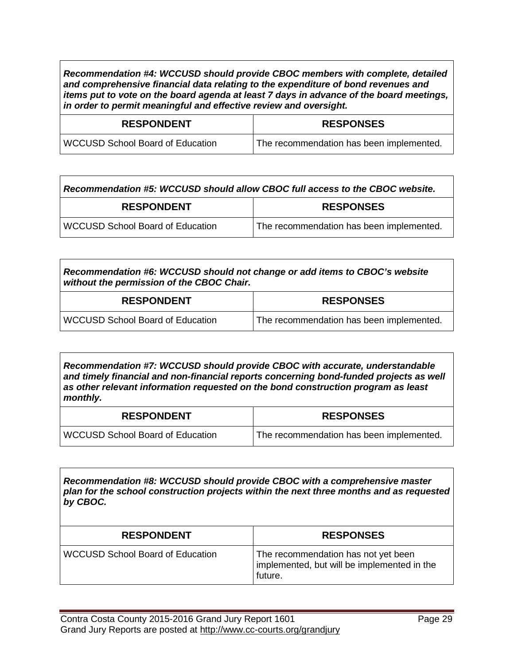*Recommendation #4: WCCUSD should provide CBOC members with complete, detailed and comprehensive financial data relating to the expenditure of bond revenues and items put to vote on the board agenda at least 7 days in advance of the board meetings, in order to permit meaningful and effective review and oversight.*

| <b>RESPONDENT</b>                       | <b>RESPONSES</b>                         |
|-----------------------------------------|------------------------------------------|
| <b>WCCUSD School Board of Education</b> | The recommendation has been implemented. |

| Recommendation #5: WCCUSD should allow CBOC full access to the CBOC website. |                                          |
|------------------------------------------------------------------------------|------------------------------------------|
| <b>RESPONDENT</b>                                                            | <b>RESPONSES</b>                         |
| <b>WCCUSD School Board of Education</b>                                      | The recommendation has been implemented. |

*Recommendation #6: WCCUSD should not change or add items to CBOC's website without the permission of the CBOC Chair.*

| <b>RESPONDENT</b>                       | <b>RESPONSES</b>                                      |
|-----------------------------------------|-------------------------------------------------------|
| <b>WCCUSD School Board of Education</b> | <sup>1</sup> The recommendation has been implemented. |

*Recommendation #7: WCCUSD should provide CBOC with accurate, understandable and timely financial and non-financial reports concerning bond-funded projects as well as other relevant information requested on the bond construction program as least monthly.*

| <b>RESPONDENT</b>                | <b>RESPONSES</b>                         |
|----------------------------------|------------------------------------------|
| WCCUSD School Board of Education | The recommendation has been implemented. |

*Recommendation #8: WCCUSD should provide CBOC with a comprehensive master plan for the school construction projects within the next three months and as requested by CBOC.*

| <b>RESPONDENT</b>                       | <b>RESPONSES</b>                                                                              |
|-----------------------------------------|-----------------------------------------------------------------------------------------------|
| <b>WCCUSD School Board of Education</b> | The recommendation has not yet been<br>implemented, but will be implemented in the<br>future. |